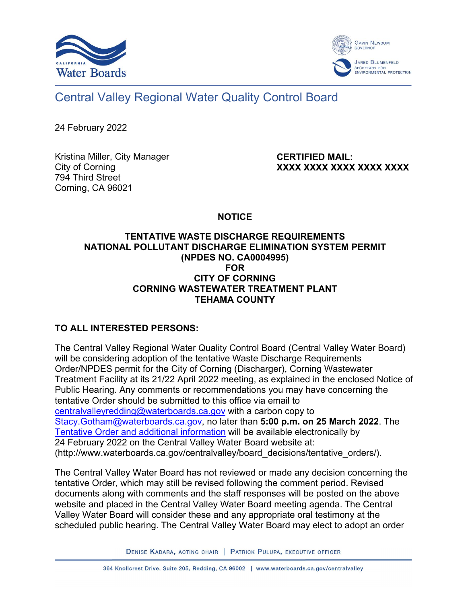



## Central Valley Regional Water Quality Control Board

24 February 2022

Kristina Miller, City Manager City of Corning 794 Third Street Corning, CA 96021

**CERTIFIED MAIL: XXXX XXXX XXXX XXXX XXXX**

**NOTICE**

## **TENTATIVE WASTE DISCHARGE REQUIREMENTS NATIONAL POLLUTANT DISCHARGE ELIMINATION SYSTEM PERMIT (NPDES NO. CA0004995) FOR CITY OF CORNING CORNING WASTEWATER TREATMENT PLANT TEHAMA COUNTY**

## **TO ALL INTERESTED PERSONS:**

The Central Valley Regional Water Quality Control Board (Central Valley Water Board) will be considering adoption of the tentative Waste Discharge Requirements Order/NPDES permit for the City of Corning (Discharger), Corning Wastewater Treatment Facility at its 21/22 April 2022 meeting, as explained in the enclosed Notice of Public Hearing. Any comments or recommendations you may have concerning the tentative Order should be submitted to this office via email to [centralvalleyredding@waterboards.ca.gov](mailto:centralvalleyredding@waterboards.ca.gov) with a carbon copy to [Stacy.Gotham@waterboards.ca.gov,](mailto:Stacy.Gotham@waterboards.ca.gov) no later than **5:00 p.m. on 25 March 2022**. The [Tentative Order and additional information](http://www.waterboards.ca.gov/centralvalley/board_decisions/tentative_orders/) will be available electronically by 24 February 2022 on the Central Valley Water Board website at: (http://www.waterboards.ca.gov/centralvalley/board\_decisions/tentative\_orders/).

The Central Valley Water Board has not reviewed or made any decision concerning the tentative Order, which may still be revised following the comment period. Revised documents along with comments and the staff responses will be posted on the above website and placed in the Central Valley Water Board meeting agenda. The Central Valley Water Board will consider these and any appropriate oral testimony at the scheduled public hearing. The Central Valley Water Board may elect to adopt an order

DENISE KADARA, ACTING CHAIR | PATRICK PULUPA, EXECUTIVE OFFICER